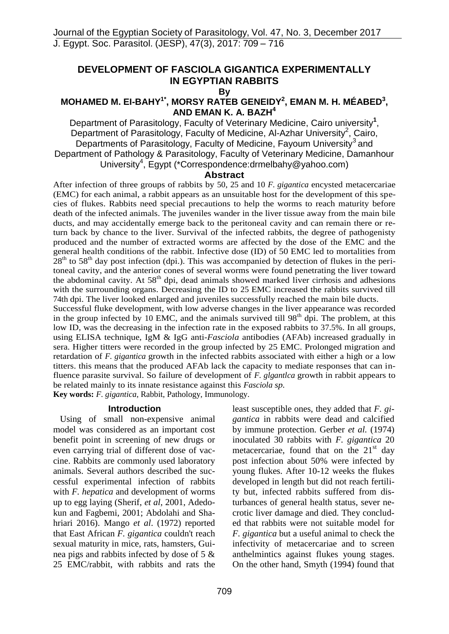# **DEVELOPMENT OF FASCIOLA GIGANTICA EXPERIMENTALLY IN EGYPTIAN RABBITS**

**By**

## **MOHAMED M. EI-BAHY<sup>1\*</sup>, MORSY RATEB GENEIDY<sup>2</sup>, EMAN M. H. MÉABED<sup>3</sup>, AND EMAN K. A. BAZH<sup>4</sup>**

Department of Parasitology, Faculty of Veterinary Medicine, Cairo university**<sup>1</sup>** , Department of Parasitology, Faculty of Medicine, Al-Azhar University<sup>2</sup>, Cairo, Departments of Parasitology, Faculty of Medicine, Fayoum University<sup>3</sup> and Department of Pathology & Parasitology, Faculty of Veterinary Medicine, Damanhour University<sup>4</sup>, Egypt (\*Correspondence:drmelbahy@yahoo.com)

## **Abstract**

After infection of three groups of rabbits by 50, 25 and 10 *F. gigantica* encysted metacercariae (EMC) for each animal, a rabbit appears as an unsuitable host for the development of this species of flukes. Rabbits need special precautions to help the worms to reach maturity before death of the infected animals. The juveniles wander in the liver tissue away from the main bile ducts, and may accidentally emerge back to the peritoneal cavity and can remain there or return back by chance to the liver. Survival of the infected rabbits, the degree of pathogenisty produced and the number of extracted worms are affected by the dose of the EMC and the general health conditions of the rabbit. Infective dose (ID) of 50 EMC led to mortalities from  $28<sup>th</sup>$  to 58<sup>th</sup> day post infection (dpi.). This was accompanied by detection of flukes in the peritoneal cavity, and the anterior cones of several worms were found penetrating the liver toward the abdominal cavity. At  $58<sup>th</sup>$  dpi, dead animals showed marked liver cirrhosis and adhesions with the surrounding organs. Decreasing the ID to 25 EMC increased the rabbits survived till 74th dpi. The liver looked enlarged and juveniles successfully reached the main bile ducts.

Successful fluke development, with low adverse changes in the liver appearance was recorded in the group infected by 10 EMC, and the animals survived till  $98<sup>th</sup>$  dpi. The problem, at this low ID, was the decreasing in the infection rate in the exposed rabbits to 37.5%. In all groups, using ELISA technique, IgM & IgG anti-*Fasciola* antibodies (AFAb) increased gradually in sera. Higher titters were recorded in the group infected by 25 EMC. Prolonged migration and retardation of *F. gigantica* growth in the infected rabbits associated with either a high or a low titters. this means that the produced AFAb lack the capacity to mediate responses that can influence parasite survival. So failure of development of *F. glgantlca* growth in rabbit appears to be related mainly to its innate resistance against this *Fasciola sp.*

**Key words:** *F. gigantica*, Rabbit, Pathology, Immunology.

## **Introduction**

 Using of small non-expensive animal model was considered as an important cost benefit point in screening of new drugs or even carrying trial of different dose of vaccine. Rabbits are commonly used laboratory animals. Several authors described the successful experimental infection of rabbits with *F. hepatica* and development of worms up to egg laying (Sherif, *et al*, 2001, Adedokun and Fagbemi, 2001; Abdolahi and Shahriari 2016). Mango *et al*. (1972) reported that East African *F. gigantica* couldn't reach sexual maturity in mice, rats, hamsters, Guinea pigs and rabbits infected by dose of 5 & 25 EMC/rabbit, with rabbits and rats the

least susceptible ones, they added that *F. gigantica* in rabbits were dead and calcified by immune protection. Gerber *et al.* (1974) inoculated 30 rabbits with *F. gigantica* 20 metacercariae, found that on the  $21<sup>st</sup>$  day post infection about 50% were infected by young flukes. After 10-12 weeks the flukes developed in length but did not reach fertility but, infected rabbits suffered from disturbances of general health status, sever necrotic liver damage and died. They concluded that rabbits were not suitable model for *F. gigantica* but a useful animal to check the infectivity of metacercariae and to screen anthelmintics against flukes young stages. On the other hand, Smyth (1994) found that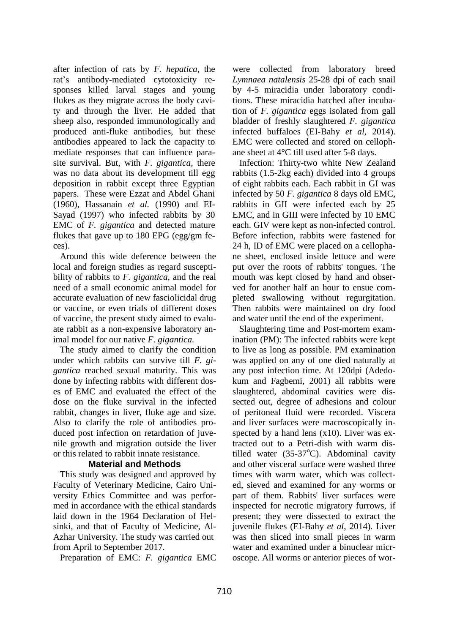after infection of rats by *F. hepatica,* the rat's antibody-mediated cytotoxicity responses killed larval stages and young flukes as they migrate across the body cavity and through the liver. He added that sheep also, responded immunologically and produced anti-fluke antibodies, but these antibodies appeared to lack the capacity to mediate responses that can influence parasite survival. But, with *F. gigantica,* there was no data about its development till egg deposition in rabbit except three Egyptian papers. These were Ezzat and Abdel Ghani (1960), Hassanain *et al.* (1990) and EI-Sayad (1997) who infected rabbits by 30 EMC of *F. gigantica* and detected mature flukes that gave up to 180 EPG (egg/gm feces).

 Around this wide deference between the local and foreign studies as regard susceptibility of rabbits to *F. gigantica,* and the real need of a small economic animal model for accurate evaluation of new fasciolicidal drug or vaccine, or even trials of different doses of vaccine, the present study aimed to evaluate rabbit as a non-expensive laboratory animal model for our native *F. gigantica.*

The study aimed to clarify the condition under which rabbits can survive till *F. gigantica* reached sexual maturity. This was done by infecting rabbits with different doses of EMC and evaluated the effect of the dose on the fluke survival in the infected rabbit, changes in liver, fluke age and size. Also to clarify the role of antibodies produced post infection on retardation of juvenile growth and migration outside the liver or this related to rabbit innate resistance.

## **Material and Methods**

 This study was designed and approved by Faculty of Veterinary Medicine, Cairo University Ethics Committee and was performed in accordance with the ethical standards laid down in the 1964 Declaration of Helsinki, and that of Faculty of Medicine, Al-Azhar University. The study was carried out from April to September 2017.

Preparation of EMC: *F. gigantica* EMC

were collected from laboratory breed *Lymnaea natalensis* 25-28 dpi of each snail by 4-5 miracidia under laboratory conditions. These miracidia hatched after incubation of *F. gigantica* eggs isolated from gall bladder of freshly slaughtered *F. gigantica*  infected buffaloes (EI-Bahy *et al,* 2014). EMC were collected and stored on cellophane sheet at 4°C till used after 5-8 days.

 Infection: Thirty-two white New Zealand rabbits (1.5-2kg each) divided into 4 groups of eight rabbits each. Each rabbit in GI was infected by 50 *F. gigantica* 8 days old EMC, rabbits in GII were infected each by 25 EMC, and in GIII were infected by 10 EMC each. GIV were kept as non-infected control. Before infection, rabbits were fastened for 24 h, ID of EMC were placed on a cellophane sheet, enclosed inside lettuce and were put over the roots of rabbits' tongues. The mouth was kept closed by hand and observed for another half an hour to ensue completed swallowing without regurgitation. Then rabbits were maintained on dry food and water until the end of the experiment.

 Slaughtering time and Post-mortem examination (PM): The infected rabbits were kept to live as long as possible. PM examination was applied on any of one died naturally at any post infection time. At 120dpi (Adedokum and Fagbemi, 2001) all rabbits were slaughtered, abdominal cavities were dissected out, degree of adhesions and colour of peritoneal fluid were recorded. Viscera and liver surfaces were macroscopically inspected by a hand lens  $(x10)$ . Liver was extracted out to a Petri-dish with warm distilled water  $(35-37^{\circ}C)$ . Abdominal cavity and other visceral surface were washed three times with warm water, which was collected, sieved and examined for any worms or part of them. Rabbits' liver surfaces were inspected for necrotic migratory furrows, if present; they were dissected to extract the juvenile flukes (EI-Bahy *et al*, 2014). Liver was then sliced into small pieces in warm water and examined under a binuclear microscope. All worms or anterior pieces of wor-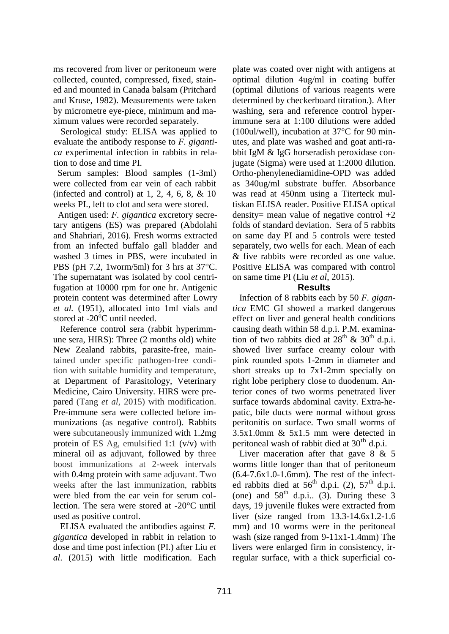ms recovered from liver or peritoneum were collected, counted, compressed, fixed, stained and mounted in Canada balsam (Pritchard and Kruse, 1982). Measurements were taken by micrometre eye-piece, minimum and maximum values were recorded separately.

 Serological study: ELISA was applied to evaluate the antibody response to *F. gigantica* experimental infection in rabbits in relation to dose and time PI.

 Serum samples: Blood samples (1-3ml) were collected from ear vein of each rabbit (infected and control) at  $1, 2, 4, 6, 8, \& 10$ weeks PI., left to clot and sera were stored.

 Antigen used: *F. gigantica* excretory secretary antigens (ES) was prepared (Abdolahi and Shahriari, 2016). Fresh worms extracted from an infected buffalo gall bladder and washed 3 times in PBS, were incubated in PBS (pH 7.2, 1worm/5ml) for 3 hrs at 37°C. The supernatant was isolated by cool centrifugation at 10000 rpm for one hr. Antigenic protein content was determined after Lowry *et al.* (1951), allocated into 1ml vials and stored at  $-20^{\circ}$ C until needed.

 Reference control sera (rabbit hyperimmune sera, HIRS): Three (2 months old) white New Zealand rabbits, parasite-free, maintained under specific pathogen-free condition with suitable humidity and temperature, at Department of Parasitology, Veterinary Medicine, Cairo University. HIRS were prepared (Tang *et al*, 2015) with modification. Pre-immune sera were collected before immunizations (as negative control). Rabbits were subcutaneously immunized with 1.2mg protein of ES Ag, emulsified 1:1 (v/v) with mineral oil as adjuvant, followed by three boost immunizations at 2-week intervals with 0.4mg protein with same adjuvant. Two weeks after the last immunization, rabbits were bled from the ear vein for serum collection. The sera were stored at -20°C until used as positive control.

 ELISA evaluated the antibodies against *F. gigantica* developed in rabbit in relation to dose and time post infection (PI.) after Liu *et al*. (2015) with little modification. Each plate was coated over night with antigens at optimal dilution 4ug/ml in coating buffer (optimal dilutions of various reagents were determined by checkerboard titration.). After washing, sera and reference control hyperimmune sera at 1:100 dilutions were added (100ul/well), incubation at 37°C for 90 minutes, and plate was washed and goat anti-rabbit IgM & IgG horseradish peroxidase conjugate (Sigma) were used at 1:2000 dilution. Ortho-phenylenediamidine-OPD was added as 340ug/ml substrate buffer. Absorbance was read at 450nm using a Titerteck multiskan ELISA reader. Positive ELISA optical density= mean value of negative control  $+2$ folds of standard deviation. Sera of 5 rabbits on same day PI and 5 controls were tested separately, two wells for each. Mean of each & five rabbits were recorded as one value. Positive ELISA was compared with control on same time PI (Liu *et al*, 2015).

## **Results**

 Infection of 8 rabbits each by 50 *F. gigantica* EMC GI showed a marked dangerous effect on liver and general health conditions causing death within 58 d.p.i. P.M. examination of two rabbits died at  $28<sup>th</sup>$  &  $30<sup>th</sup>$  d.p.i. showed liver surface creamy colour with pink rounded spots 1-2mm in diameter and short streaks up to 7x1-2mm specially on right lobe periphery close to duodenum. Anterior cones of two worms penetrated liver surface towards abdominal cavity. Extra-hepatic, bile ducts were normal without gross peritonitis on surface. Two small worms of 3.5x1.0mm & 5x1.5 mm were detected in peritoneal wash of rabbit died at  $30<sup>th</sup>$  d.p.i.

Liver maceration after that gave 8 & 5 worms little longer than that of peritoneum (6.4-7.6x1.0-1.6mm). The rest of the infected rabbits died at  $56<sup>th</sup>$  d.p.i. (2),  $57<sup>th</sup>$  d.p.i. (one) and  $58<sup>th</sup>$  d.p.i.. (3). During these 3 days, 19 juvenile flukes were extracted from liver (size ranged from 13.3-14.6x1.2-1.6 mm) and 10 worms were in the peritoneal wash (size ranged from 9-11x1-1.4mm) The livers were enlarged firm in consistency, irregular surface, with a thick superficial co-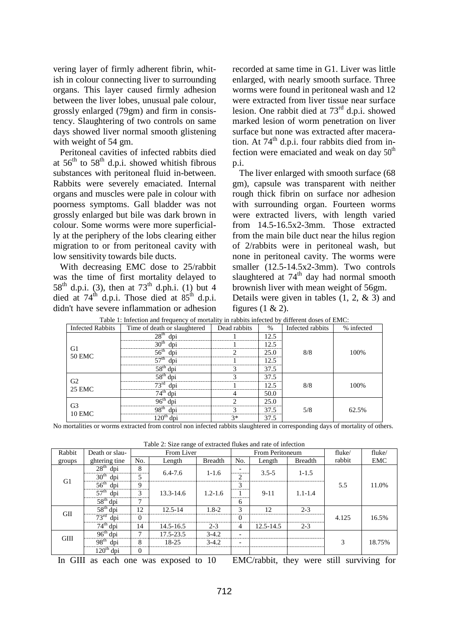vering layer of firmly adherent fibrin, whitish in colour connecting liver to surrounding organs. This layer caused firmly adhesion between the liver lobes, unusual pale colour, grossly enlarged (79gm) and firm in consistency. Slaughtering of two controls on same days showed liver normal smooth glistening with weight of 54 gm.

 Peritoneal cavities of infected rabbits died at  $56<sup>th</sup>$  to  $58<sup>th</sup>$  d.p.i. showed whitish fibrous substances with peritoneal fluid in-between. Rabbits were severely emaciated. Internal organs and muscles were pale in colour with poorness symptoms. Gall bladder was not grossly enlarged but bile was dark brown in colour. Some worms were more superficially at the periphery of the lobs clearing either migration to or from peritoneal cavity with low sensitivity towards bile ducts.

 With decreasing EMC dose to 25/rabbit was the time of first mortality delayed to 58<sup>th</sup> d.p.i. (3), then at  $73^{th}$  d.ph.i. (1) but 4 died at  $74^{\text{th}}$  d.p.i. Those died at  $85^{\text{th}}$  d.p.i. didn't have severe inflammation or adhesion recorded at same time in G1. Liver was little enlarged, with nearly smooth surface. Three worms were found in peritoneal wash and 12 were extracted from liver tissue near surface lesion. One rabbit died at  $73<sup>rd</sup>$  d.p.i. showed marked lesion of worm penetration on liver surface but none was extracted after maceration. At 74<sup>th</sup> d.p.i. four rabbits died from infection were emaciated and weak on day  $50<sup>th</sup>$ p.i.

 The liver enlarged with smooth surface (68 gm), capsule was transparent with neither rough thick fibrin on surface nor adhesion with surrounding organ. Fourteen worms were extracted livers, with length varied from 14.5-16.5x2-3mm. Those extracted from the main bile duct near the hilus region of 2/rabbits were in peritoneal wash, but none in peritoneal cavity. The worms were smaller (12.5-14.5x2-3mm). Two controls slaughtered at  $74<sup>th</sup>$  day had normal smooth brownish liver with mean weight of 56gm. Details were given in tables  $(1, 2, \& 3)$  and

figures  $(1 \& 2)$ .

| <b>Infected Rabbits</b>         | Two 1: infection and requeste, or mortanty in racerto infected by american dools of Emic.<br>Time of death or slaughtered | Dead rabbits | $\%$ | Infected rabbits | % infected |  |
|---------------------------------|---------------------------------------------------------------------------------------------------------------------------|--------------|------|------------------|------------|--|
| G1<br><b>50 EMC</b>             | 28 <sup>th</sup><br>dni                                                                                                   |              | 12.5 |                  |            |  |
|                                 | 30 <sup>th</sup><br>dnı                                                                                                   |              | 12.5 |                  | 100%       |  |
|                                 | 56 <sup>th</sup><br>dni                                                                                                   |              | 25.0 | 8/8              |            |  |
|                                 | 57 <sup>th</sup><br>dni                                                                                                   |              | 12.5 |                  |            |  |
|                                 | 58 <sup>th</sup><br>dni                                                                                                   |              | 37.5 |                  |            |  |
| G <sub>2</sub><br><b>25 EMC</b> | $\leq$ $\mathbf{Q}^{\text{th}}$<br>                                                                                       |              | 37.5 |                  |            |  |
|                                 | $\neg \neg \Gamma$                                                                                                        |              | 12.5 | 8/8              | 100%       |  |
|                                 | dm                                                                                                                        |              | 50.0 |                  |            |  |
| G <sub>3</sub><br><b>10 EMC</b> |                                                                                                                           |              | 25.0 |                  | 62.5%      |  |
|                                 | 98 <sup>th</sup><br>dni                                                                                                   |              | 37.5 | 5/8              |            |  |
|                                 |                                                                                                                           | 3*           | 37.5 |                  |            |  |

Table 1: Infection and frequency of mortality in rabbits infected by different doses of EMC:

No mortalities or worms extracted from control non infected rabbits slaughtered in corresponding days of mortality of others.

Table 2: Size range of extracted flukes and rate of infection

| Rabbit      | Death or slau-          | bille range of entranced frames<br>From Liver |               |                | From Peritoneum |           |                | fluke/ | fluke/ |
|-------------|-------------------------|-----------------------------------------------|---------------|----------------|-----------------|-----------|----------------|--------|--------|
| groups      | ghtering tine           | No.                                           | Length        | <b>Breadth</b> | No.             | Length    | <b>Breadth</b> | rabbit | EMC    |
|             | 28 <sup>th</sup><br>dpi | 8                                             | $6.4 - 7.6$   | $1 - 1.6$      |                 | $3.5 - 5$ | $1 - 1.5$      |        |        |
| G1          | 30 <sup>th</sup><br>dpi | 5                                             |               |                | ◠               |           |                |        |        |
|             | 56 <sup>th</sup><br>dpi | 9                                             |               |                | 3               |           |                | 5.5    | 11.0%  |
|             | 57 <sup>th</sup><br>dpi | 3                                             | $13.3 - 14.6$ | $1.2 - 1.6$    |                 | $9-11$    | $1.1 - 1.4$    |        |        |
|             | $58th$ dpi              | 7                                             |               |                | 6               |           |                |        |        |
| <b>GII</b>  | $58th$ dpi              | 12                                            | $12.5 - 14$   | $1.8 - 2$      | 3               | 12        | $2 - 3$        |        |        |
|             | 73 <sup>rd</sup><br>dpi | $\Omega$                                      |               |                | $\Omega$        |           |                | 4.125  | 16.5%  |
|             | $74th$ dpi              | 14                                            | 14.5-16.5     | $2 - 3$        | 4               | 12.5-14.5 | $2 - 3$        |        |        |
| <b>GIII</b> | $96th$ dpi              | 7                                             | 17.5-23.5     | $3-4.2$        |                 |           |                |        |        |
|             | 98 <sup>th</sup><br>dpi | 8                                             | 18-25         | $3 - 4.2$      |                 |           |                | 3      | 18.75% |
|             | $120th$ dpi             | $\Omega$                                      |               |                |                 |           |                |        |        |

In GIII as each one was exposed to 10 EMC/rabbit, they were still surviving for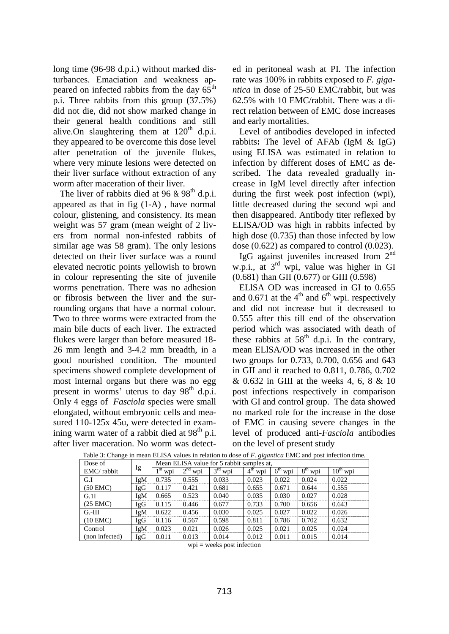long time (96-98 d.p.i.) without marked disturbances. Emaciation and weakness appeared on infected rabbits from the day  $65^{\text{th}}$ p.i. Three rabbits from this group (37.5%) did not die, did not show marked change in their general health conditions and still alive. On slaughtering them at  $120<sup>th</sup>$  d.p.i. they appeared to be overcome this dose level after penetration of the juvenile flukes, where very minute lesions were detected on their liver surface without extraction of any worm after maceration of their liver.

The liver of rabbits died at 96  $\&$  98<sup>th</sup> d.p.i. appeared as that in fig (1-A) , have normal colour, glistening, and consistency. Its mean weight was 57 gram (mean weight of 2 livers from normal non-infested rabbits of similar age was 58 gram). The only lesions detected on their liver surface was a round elevated necrotic points yellowish to brown in colour representing the site of juvenile worms penetration. There was no adhesion or fibrosis between the liver and the surrounding organs that have a normal colour. Two to three worms were extracted from the main bile ducts of each liver. The extracted flukes were larger than before measured 18- 26 mm length and 3-4.2 mm breadth, in a good nourished condition. The mounted specimens showed complete development of most internal organs but there was no egg present in worms' uterus to day  $98<sup>th</sup>$  d.p.i. Only 4 eggs of *Fasciola* species were small elongated, without embryonic cells and measured 110-125x 45u, were detected in examining warm water of a rabbit died at  $98<sup>th</sup>$  p.i. after liver maceration. No worm was detected in peritoneal wash at PI. The infection rate was 100% in rabbits exposed to *F. gigantica* in dose of 25-50 EMC/rabbit, but was 62.5% with 10 EMC/rabbit. There was a direct relation between of EMC dose increases and early mortalities.

 Level of antibodies developed in infected rabbits**:** The level of AFAb (IgM & IgG) using ELISA was estimated in relation to infection by different doses of EMC as described. The data revealed gradually increase in IgM level directly after infection during the first week post infection (wpi), little decreased during the second wpi and then disappeared. Antibody titer reflexed by ELISA/OD was high in rabbits infected by high dose (0.735) than those infected by low dose (0.622) as compared to control (0.023).

IgG against juveniles increased from  $2<sup>nd</sup>$ w.p.i., at 3rd wpi, value was higher in GI (0.681) than GII (0.677) or GIII (0.598)

 ELlSA OD was increased in GI to 0.655 and 0.671 at the  $4<sup>th</sup>$  and  $6<sup>th</sup>$  wpi. respectively and did not increase but it decreased to 0.555 after this till end of the observation period which was associated with death of these rabbits at  $58<sup>th</sup>$  d.p.i. In the contrary, mean ELlSA/OD was increased in the other two groups for 0.733, 0.700, 0.656 and 643 in GII and it reached to 0.811, 0.786, 0.702 & 0.632 in GIII at the weeks 4, 6, 8 & 10 post infections respectively in comparison with GI and control group. The data showed no marked role for the increase in the dose of EMC in causing severe changes in the level of produced anti-*Fasciola* antibodies on the level of present study

| Dose of        |     | Mean ELISA value for 5 rabbit samples at, |                        |                        |                                    |                        |                        |                         |  |
|----------------|-----|-------------------------------------------|------------------------|------------------------|------------------------------------|------------------------|------------------------|-------------------------|--|
| EMC/rabbit     | Ig  | $1st$ wpi                                 | 2 <sup>nd</sup><br>wpi | 3 <sup>rd</sup><br>wpi | 4 <sup>th</sup><br>W <sub>D1</sub> | $6^{\text{th}}$<br>wpi | 8 <sup>th</sup><br>wpi | $10^{\text{th}}$<br>wpi |  |
| G.I            | IgM | 0.735                                     | 0.555                  | 0.033                  | 0.023                              | 0.022                  | 0.024                  | 0.022                   |  |
| (50 EMC)       | IgG | 0.117                                     | 0.421                  | 0.681                  | 0.655                              | 0.671                  | 0.644                  | 0.555                   |  |
| G.1I           | IgM | 0.665                                     | 0.523                  | 0.040                  | 0.035                              | 0.030                  | 0.027                  | 0.028                   |  |
| (25 EMC)       | IgG | 0.115                                     | 0.446                  | 0.677                  | 0.733                              | 0.700                  | 0.656                  | 0.643                   |  |
| $G.-III$       | IgM | 0.622                                     | 0.456                  | 0.030                  | 0.025                              | 0.027                  | 0.022                  | 0.026                   |  |
| $(10$ EMC $)$  | IgG | 0.116                                     | 0.567                  | 0.598                  | 0.811                              | 0.786                  | 0.702                  | 0.632                   |  |
| Control        | IgM | 0.023                                     | 0.021                  | 0.026                  | 0.025                              | 0.021                  | 0.025                  | 0.024                   |  |
| (non infected) | IgG | 0.011                                     | 0.013                  | 0.014                  | 0.012                              | 0.011                  | 0.015                  | 0.014                   |  |

Table 3: Change in mean ELISA values in relation to dose of *F. gigantica* EMC and post infection time.

 $wpi = weeks$  post infection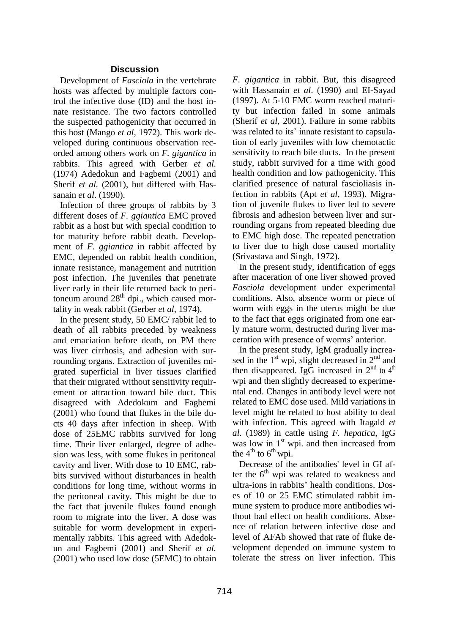#### **Discussion**

 Development of *Fasciola* in the vertebrate hosts was affected by multiple factors control the infective dose (ID) and the host innate resistance. The two factors controlled the suspected pathogenicity that occurred in this host (Mango *et al,* 1972). This work developed during continuous observation recorded among others work on *F. gigantica* in rabbits. This agreed with Gerber *et al.* (1974) Adedokun and Fagbemi (2001) and [Sherif](https://www.ncbi.nlm.nih.gov/pubmed/?term=Sherif%20N%5BAuthor%5D&cauthor=true&cauthor_uid=17216940) *et al.* (2001), but differed with Hassanain *et al*. (1990).

 Infection of three groups of rabbits by 3 different doses of *F. ggiantica* EMC proved rabbit as a host but with special condition to for maturity before rabbit death. Development of *F. ggiantica* in rabbit affected by EMC, depended on rabbit health condition, innate resistance, management and nutrition post infection. The juveniles that penetrate liver early in their life returned back to peritoneum around  $28<sup>th</sup>$  dpi., which caused mortality in weak rabbit (Gerber *et al*, 1974).

 In the present study, 50 EMC/ rabbit led to death of all rabbits preceded by weakness and emaciation before death, on PM there was liver cirrhosis, and adhesion with surrounding organs. Extraction of juveniles migrated superficial in liver tissues clarified that their migrated without sensitivity requirement or attraction toward bile duct. This disagreed with Adedokum and Fagbemi (2001) who found that flukes in the bile ducts 40 days after infection in sheep. With dose of 25EMC rabbits survived for long time. Their liver enlarged, degree of adhesion was less, with some flukes in peritoneal cavity and liver. With dose to 10 EMC, rabbits survived without disturbances in health conditions for long time, without worms in the peritoneal cavity. This might be due to the fact that juvenile flukes found enough room to migrate into the liver. A dose was suitable for worm development in experimentally rabbits. This agreed with Adedokun and Fagbemi (2001) and [Sherif](https://www.ncbi.nlm.nih.gov/pubmed/?term=Sherif%20N%5BAuthor%5D&cauthor=true&cauthor_uid=17216940) *et al.* (2001) who used low dose (5EMC) to obtain *F. gigantica* in rabbit. But, this disagreed with Hassanain *et al*. (1990) and EI-Sayad (1997). At 5-10 EMC worm reached maturity but infection failed in some animals [\(Sherif](https://www.ncbi.nlm.nih.gov/pubmed/?term=Sherif%20N%5BAuthor%5D&cauthor=true&cauthor_uid=17216940) *et al*, 2001). Failure in some rabbits was related to its' innate resistant to capsulation of early juveniles with low chemotactic sensitivity to reach bile ducts. In the present study, rabbit survived for a time with good health condition and low pathogenicity. This clarified presence of natural fascioliasis infection in rabbits (Apt *et al*, 1993). Migration of juvenile flukes to liver led to severe fibrosis and adhesion between liver and surrounding organs from repeated bleeding due to EMC high dose. The repeated penetration to liver due to high dose caused mortality (Srivastava and Singh, 1972).

 In the present study, identification of eggs after maceration of one liver showed proved *Fasciola* development under experimental conditions. Also, absence worm or piece of worm with eggs in the uterus might be due to the fact that eggs originated from one early mature worm, destructed during liver maceration with presence of worms' anterior.

 In the present study, IgM gradually increased in the  $1<sup>st</sup>$  wpi, slight decreased in  $2<sup>nd</sup>$  and then disappeared. IgG increased in  $2<sup>nd</sup>$  to  $4<sup>th</sup>$ wpi and then slightly decreased to experimental end. Changes in antibody level were not related to EMC dose used. Mild variations in level might be related to host ability to deal with infection. This agreed with Itagald *et al.* (1989) in cattle using *F. hepatica*, IgG was low in  $1^{st}$  wpi. and then increased from the  $4^{th}$  to  $6^{th}$  wpi.

 Decrease of the antibodies' level in GI after the  $6<sup>th</sup>$  wpi was related to weakness and ultra-ions in rabbits' health conditions. Doses of 10 or 25 EMC stimulated rabbit immune system to produce more antibodies without bad effect on health conditions. Absence of relation between infective dose and level of AFAb showed that rate of fluke development depended on immune system to tolerate the stress on liver infection. This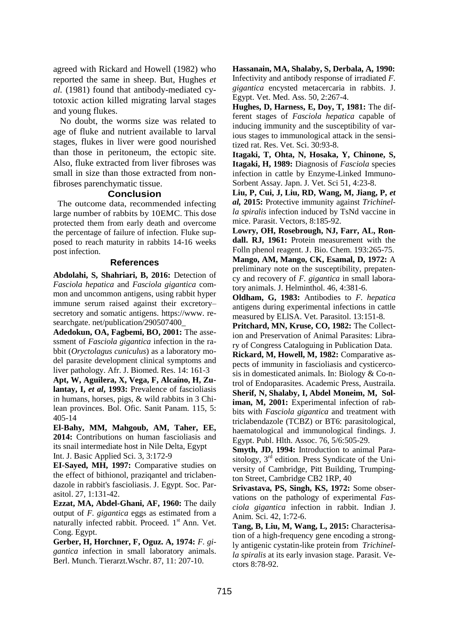agreed with Rickard and Howell (1982) who reported the same in sheep. But, Hughes *et al.* (1981) found that antibody-mediated cytotoxic action killed migrating larval stages and young flukes.

 No doubt, the worms size was related to age of fluke and nutrient available to larval stages, flukes in liver were good nourished than those in peritoneum, the ectopic site. Also, fluke extracted from liver fibroses was small in size than those extracted from nonfibroses parenchymatic tissue.

#### **Conclusion**

 The outcome data, recommended infecting large number of rabbits by 10EMC. This dose protected them from early death and overcome the percentage of failure of infection. Fluke supposed to reach maturity in rabbits 14-16 weeks post infection.

#### **References**

**[Abdolahi,](https://www.researchgate.net/profile/Samaneh_Abdolahi) S, Shahriari, B, 2016:** Detection of *Fasciola hepatica* and *Fasciola gigantica* common and uncommon antigens, using rabbit hyper immune serum raised against their excretory– secretory and somatic antigens. https://www. researchgate. net/publication/290507400\_

**Adedokun, OA, Fagbemi, BO, 2001:** The assessment of *Fasciola gigantica* infection in the rabbit (*Oryctolagus cuniculus*) as a laboratory model parasite development clinical symptoms and liver pathology. Afr. J. Biomed. Res. 14: 161-3

**Apt, W, Aguilera, X, Vega, F, Alcaíno, H, Zulantay, I,** *et al***, 1993:** Prevalence of fascioliasis in humans, horses, pigs, & wild rabbits in 3 Chilean provinces. Bol. Ofic. Sanit Panam. 115, 5: 405-14

**El-Bahy, MM, Mahgoub, AM, Taher, EE, 2014:** Contributions on human fascioliasis and its snail intermediate host in Nile Delta, Egypt Int. J. Basic Applied Sci. 3, 3:172-9

**EI-Sayed, MH, 1997:** Comparative studies on the effect of bithionol, praziqantel and triclabendazole in rabbit's fascioliasis. J. Egypt. Soc. Parasitol. 27, 1:131-42.

**Ezzat, MA, Abdel-Ghani, AF, 1960:** The daily output of *F. gigantica* eggs as estimated from a naturally infected rabbit. Proceed. 1<sup>st</sup> Ann. Vet. Cong. Egypt.

**Gerber, H, Horchner, F, Oguz. A, 1974:** *F. gigantica* infection in small laboratory animals. Berl. Munch. Tierarzt.Wschr. 87, 11: 207-10.

**Hassanain, MA, Shalaby, S, Derbala, A, 1990:** Infectivity and antibody response of irradiated *F. gigantica* encysted metacercaria in rabbits. J. Egypt. Vet. Med. Ass. 50, 2:267-4.

**Hughes, D, Harness, E, Doy, T, 1981:** The different stages of *Fasciola hepatica* capable of inducing immunity and the susceptibility of various stages to immunological attack in the sensitized rat. Res. Vet. Sci. 30:93-8.

**Itagaki, T, Ohta, N, Hosaka, Y, Chinone, S, Itagaki, H, 1989:** Diagnosis of *Fasciola* species infection in cattle by Enzyme-Linked Immuno-Sorbent Assay. Japn. J. Vet. Sci 51, 4:23-8.

**Liu, P, Cui, J, Liu, RD, Wang, M, Jiang, P,** *et al,* **2015:** Protective immunity against *Trichinella spiralis* infection induced by TsNd vaccine in mice. Parasit. Vectors, 8:185-92.

**Lowry, OH, Rosebrough, NJ, Farr, AL, Rondall. RJ, 1961:** Protein measurement with the Folln phenol reagent. J. Bio. Chem. 193:265-75.

**Mango, AM, Mango, CK, Esamal, D, 1972:** A preliminary note on the susceptibility, prepatency and recovery of *F. gigantica* in small laboratory animals. J. Helminthol. 46, 4:381-6.

**Oldham, G, 1983:** Antibodies to *F. hepatica* antigens during experimental infections in cattle measured by ELlSA. Vet. Parasitol. 13:151-8.

**Pritchard, MN, Kruse, CO, 1982:** The Collection and Preservation of Animal Parasites: Library of Congress Cataloguing in Publication Data.

**Rickard, M, Howell, M, 1982:** Comparative aspects of immunity in fascioliasis and cysticercosis in domesticated animals. In: Biology & Co-ntrol of Endoparasites. Academic Press, Austraila. **[Sherif, N,](https://www.ncbi.nlm.nih.gov/pubmed/?term=Sherif%20N%5BAuthor%5D&cauthor=true&cauthor_uid=17216940) [Shalaby, I,](https://www.ncbi.nlm.nih.gov/pubmed/?term=Shalaby%20I%5BAuthor%5D&cauthor=true&cauthor_uid=17216940) [Abdel Moneim, M,](https://www.ncbi.nlm.nih.gov/pubmed/?term=Abdel%20Moneim%20M%5BAuthor%5D&cauthor=true&cauthor_uid=17216940) [Sol](https://www.ncbi.nlm.nih.gov/pubmed/?term=Soliman%20M%5BAuthor%5D&cauthor=true&cauthor_uid=17216940)[iman, M,](https://www.ncbi.nlm.nih.gov/pubmed/?term=Soliman%20M%5BAuthor%5D&cauthor=true&cauthor_uid=17216940) 2001:** Experimental infection of rabbits with *Fasciola gigantica* and treatment with

triclabendazole (TCBZ) or BT6: parasitological, haematological and immunological findings. [J.](https://www.ncbi.nlm.nih.gov/pubmed/17216940) Egypt. [Publ. Hlth.](https://www.ncbi.nlm.nih.gov/pubmed/17216940) Assoc. 76, 5/6:505-29.

**Smyth, JD, 1994:** Introduction to animal Parasitology,  $3<sup>rd</sup>$  edition. Press Syndicate of the University of Cambridge, Pitt Building, Trumpington Street, Cambridge CB2 1RP, 40

**Srivastava, PS, Singh, KS, 1972:** Some observations on the pathology of experimental *Fasciola gigantica* infection in rabbit. Indian J. Anim. Sci. 42, 1:72-6.

**Tang, B, Liu, M, Wang, L, 2015:** Characterisation of a high-frequency gene encoding a strongly antigenic cystatin-like protein from *Trichinella spiralis* at its early invasion stage. Parasit. Vectors 8:78-92.